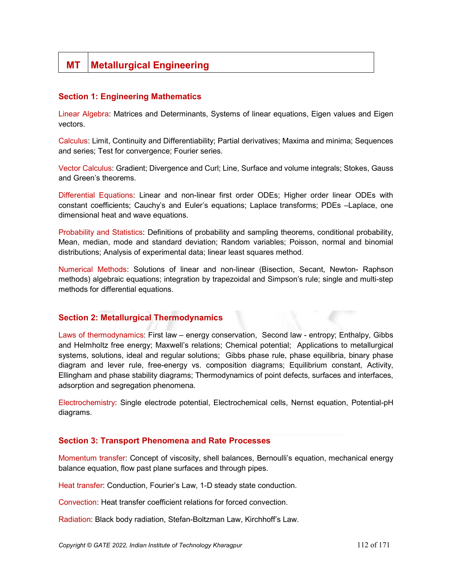# MT | Metallurgical Engineering

## Section 1: Engineering Mathematics

Linear Algebra: Matrices and Determinants, Systems of linear equations, Eigen values and Eigen vectors.

Calculus: Limit, Continuity and Differentiability; Partial derivatives; Maxima and minima; Sequences and series; Test for convergence; Fourier series.

Vector Calculus: Gradient; Divergence and Curl; Line, Surface and volume integrals; Stokes, Gauss and Green's theorems.

Differential Equations: Linear and non-linear first order ODEs; Higher order linear ODEs with constant coefficients; Cauchy's and Euler's equations; Laplace transforms; PDEs –Laplace, one dimensional heat and wave equations.

Probability and Statistics: Definitions of probability and sampling theorems, conditional probability, Mean, median, mode and standard deviation; Random variables; Poisson, normal and binomial distributions; Analysis of experimental data; linear least squares method.

Numerical Methods: Solutions of linear and non-linear (Bisection, Secant, Newton- Raphson methods) algebraic equations; integration by trapezoidal and Simpson's rule; single and multi-step methods for differential equations.

### Section 2: Metallurgical Thermodynamics

Laws of thermodynamics: First law – energy conservation, Second law - entropy; Enthalpy, Gibbs and Helmholtz free energy; Maxwell's relations; Chemical potential; Applications to metallurgical systems, solutions, ideal and regular solutions; Gibbs phase rule, phase equilibria, binary phase diagram and lever rule, free-energy vs. composition diagrams; Equilibrium constant, Activity, Ellingham and phase stability diagrams; Thermodynamics of point defects, surfaces and interfaces, adsorption and segregation phenomena.

Electrochemistry: Single electrode potential, Electrochemical cells, Nernst equation, Potential-pH diagrams.

### Section 3: Transport Phenomena and Rate Processes

Momentum transfer: Concept of viscosity, shell balances, Bernoulli's equation, mechanical energy balance equation, flow past plane surfaces and through pipes.

Heat transfer: Conduction, Fourier's Law, 1-D steady state conduction.

Convection: Heat transfer coefficient relations for forced convection.

Radiation: Black body radiation, Stefan-Boltzman Law, Kirchhoff's Law.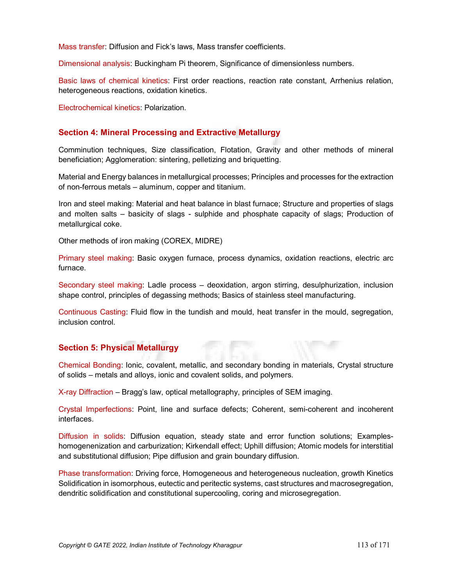Mass transfer: Diffusion and Fick's laws, Mass transfer coefficients.

Dimensional analysis: Buckingham Pi theorem, Significance of dimensionless numbers.

Basic laws of chemical kinetics: First order reactions, reaction rate constant, Arrhenius relation, heterogeneous reactions, oxidation kinetics.

Electrochemical kinetics: Polarization.

## Section 4: Mineral Processing and Extractive Metallurgy

Comminution techniques, Size classification, Flotation, Gravity and other methods of mineral beneficiation; Agglomeration: sintering, pelletizing and briquetting.

Material and Energy balances in metallurgical processes; Principles and processes for the extraction of non-ferrous metals – aluminum, copper and titanium.

Iron and steel making: Material and heat balance in blast furnace; Structure and properties of slags and molten salts – basicity of slags - sulphide and phosphate capacity of slags; Production of metallurgical coke.

Other methods of iron making (COREX, MIDRE)

Primary steel making: Basic oxygen furnace, process dynamics, oxidation reactions, electric arc furnace.

Secondary steel making: Ladle process – deoxidation, argon stirring, desulphurization, inclusion shape control, principles of degassing methods; Basics of stainless steel manufacturing.

Continuous Casting: Fluid flow in the tundish and mould, heat transfer in the mould, segregation, inclusion control.

# Section 5: Physical Metallurgy

Chemical Bonding: Ionic, covalent, metallic, and secondary bonding in materials, Crystal structure of solids – metals and alloys, ionic and covalent solids, and polymers.

X-ray Diffraction – Bragg's law, optical metallography, principles of SEM imaging.

Crystal Imperfections: Point, line and surface defects; Coherent, semi-coherent and incoherent interfaces.

Diffusion in solids: Diffusion equation, steady state and error function solutions; Exampleshomogenenization and carburization; Kirkendall effect; Uphill diffusion; Atomic models for interstitial and substitutional diffusion; Pipe diffusion and grain boundary diffusion.

Phase transformation: Driving force, Homogeneous and heterogeneous nucleation, growth Kinetics Solidification in isomorphous, eutectic and peritectic systems, cast structures and macrosegregation, dendritic solidification and constitutional supercooling, coring and microsegregation.